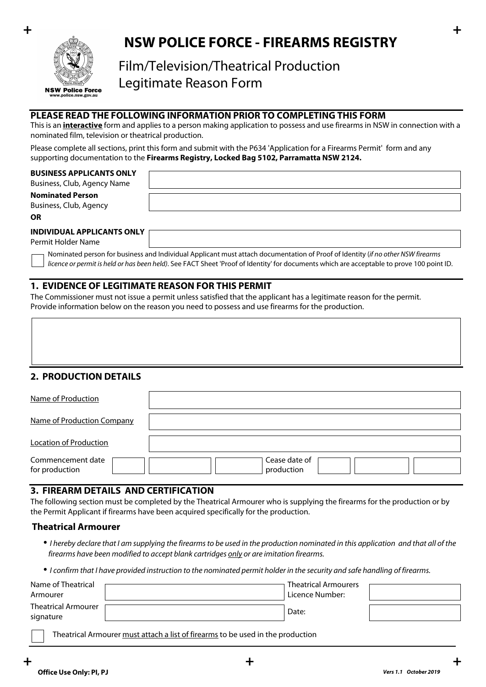

## **+ + NSW POLICE FORCE - FIREARMS REGISTRY**

# Film/Television/Theatrical Production Legitimate Reason Form

## **PLEASE READ THE FOLLOWING INFORMATION PRIOR TO COMPLETING THIS FORM**

This is an **interactive** form and applies to a person making application to possess and use firearms in NSW in connection with a nominated film, television or theatrical production.

Please complete all sections, print this form and submit with the P634 'Application for a Firearms Permit' form and any supporting documentation to the **Firearms Registry, Locked Bag 5102, Parramatta NSW 2124.**

#### **BUSINESS APPLICANTS ONLY**

Business, Club, Agency Name

**Nominated Person** Business, Club, Agency

**OR**

#### **INDIVIDUAL APPLICANTS ONLY**

Permit Holder Name

Nominated person for business and Individual Applicant must attach documentation of Proof of Identity (*if no other NSW firearms licence or permit is held or has been held)*. See FACT Sheet 'Proof of Identity' for documents which are acceptable to prove 100 point ID.

## **1. EVIDENCE OF LEGITIMATE REASON FOR THIS PERMIT**

The Commissioner must not issue a permit unless satisfied that the applicant has a legitimate reason for the permit. Provide information below on the reason you need to possess and use firearms for the production.

## **2. PRODUCTION DETAILS**

| Name of Production                  |                                                         |  |
|-------------------------------------|---------------------------------------------------------|--|
| Name of Production Company          |                                                         |  |
| Location of Production              |                                                         |  |
| Commencement date<br>for production | Cease date of<br>$\overline{\phantom{a}}$<br>production |  |

## **3. FIREARM DETAILS AND CERTIFICATION**

The following section must be completed by the Theatrical Armourer who is supplying the firearms for the production or by the Permit Applicant if firearms have been acquired specifically for the production.

#### **Theatrical Armourer**

- • *I hereby declare that I am supplying the firearms to be used in the production nominated in this application and that all of the firearms have been modified to accept blank cartridges only or are imitation firearms.*
- • *I confirm that I have provided instruction to the nominated permit holder in the security and safe handling of firearms.*

| Name of Theatrical                      | <b>Theatrical Armourers</b>  |  |
|-----------------------------------------|------------------------------|--|
| Armourer                                | <sup>!</sup> Licence Number: |  |
| <b>Theatrical Armourer</b><br>signature | Date:                        |  |

Theatrical Armourer must attach a list of firearms to be used in the production